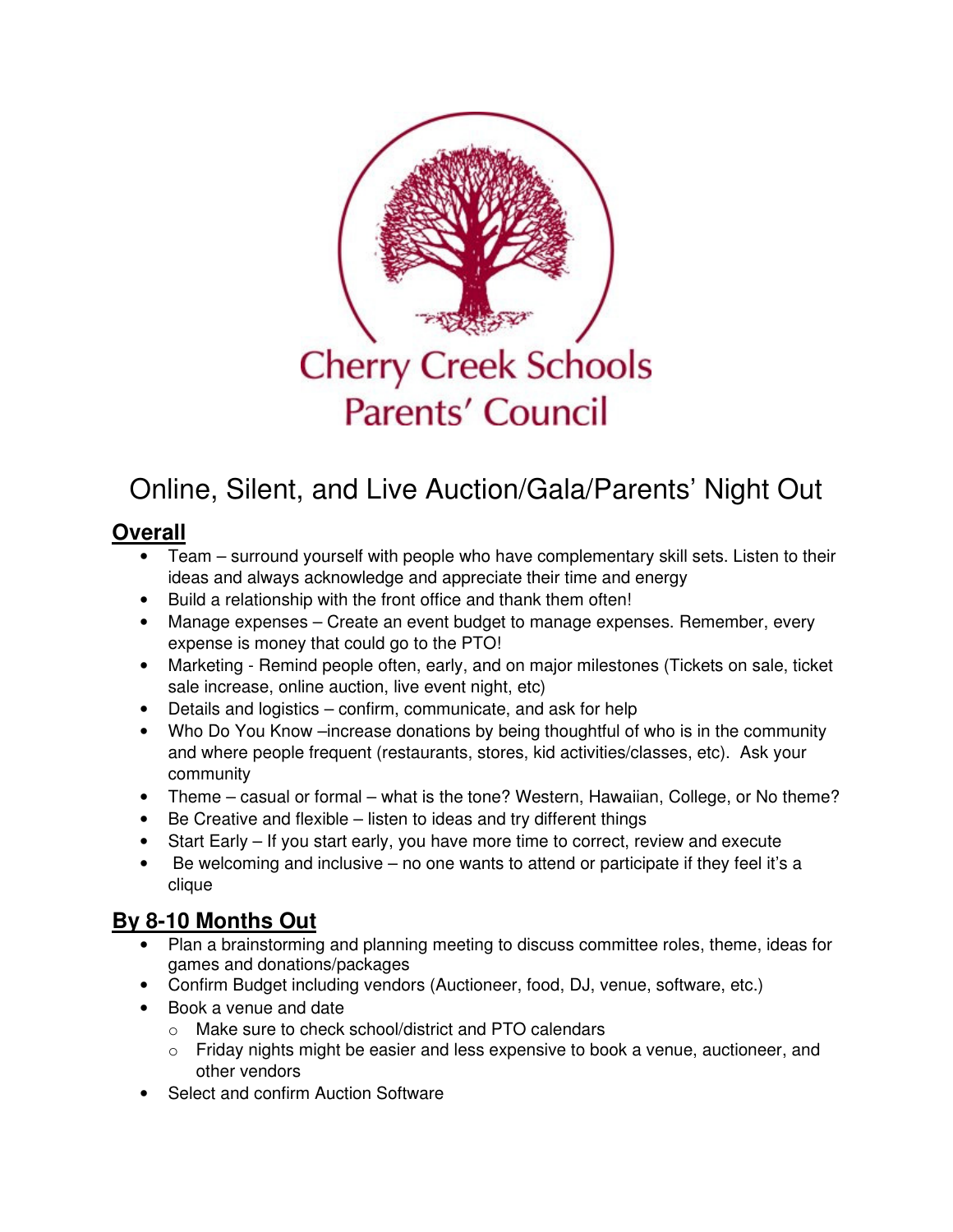

# Online, Silent, and Live Auction/Gala/Parents' Night Out

# **Overall**

- Team surround yourself with people who have complementary skill sets. Listen to their ideas and always acknowledge and appreciate their time and energy
- Build a relationship with the front office and thank them often!
- Manage expenses Create an event budget to manage expenses. Remember, every expense is money that could go to the PTO!
- Marketing Remind people often, early, and on major milestones (Tickets on sale, ticket sale increase, online auction, live event night, etc)
- Details and logistics confirm, communicate, and ask for help
- Who Do You Know –increase donations by being thoughtful of who is in the community and where people frequent (restaurants, stores, kid activities/classes, etc). Ask your community
- Theme casual or formal what is the tone? Western, Hawaiian, College, or No theme?
- Be Creative and flexible listen to ideas and try different things
- Start Early If you start early, you have more time to correct, review and execute
- Be welcoming and inclusive  $-$  no one wants to attend or participate if they feel it's a clique

# **By 8-10 Months Out**

- Plan a brainstorming and planning meeting to discuss committee roles, theme, ideas for games and donations/packages
- Confirm Budget including vendors (Auctioneer, food, DJ, venue, software, etc.)
- Book a venue and date
	- o Make sure to check school/district and PTO calendars
	- $\circ$  Friday nights might be easier and less expensive to book a venue, auctioneer, and other vendors
- Select and confirm Auction Software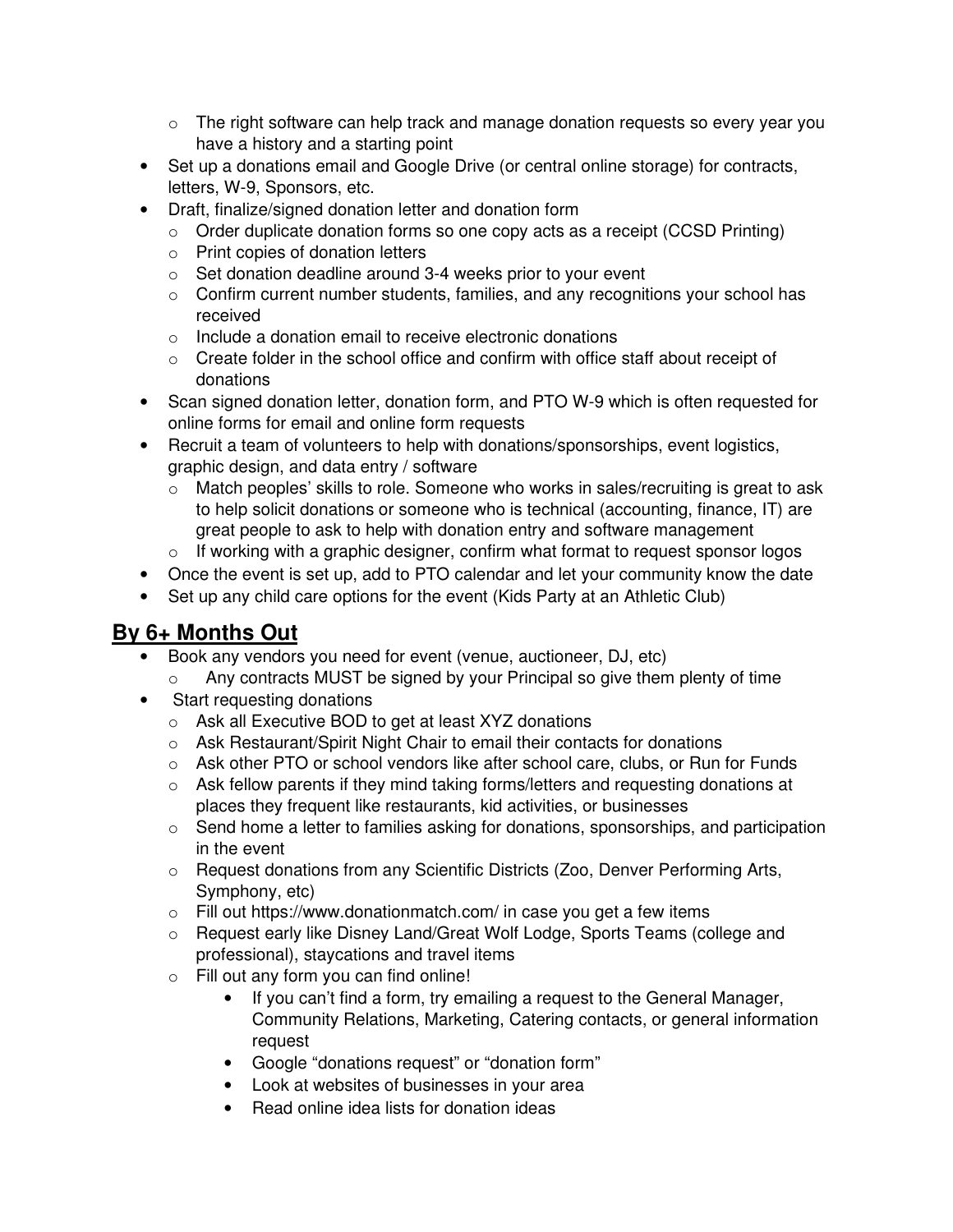- $\circ$  The right software can help track and manage donation requests so every year you have a history and a starting point
- Set up a donations email and Google Drive (or central online storage) for contracts, letters, W-9, Sponsors, etc.
- Draft, finalize/signed donation letter and donation form
	- o Order duplicate donation forms so one copy acts as a receipt (CCSD Printing)
	- o Print copies of donation letters
	- o Set donation deadline around 3-4 weeks prior to your event
	- $\circ$  Confirm current number students, families, and any recognitions your school has received
	- $\circ$  Include a donation email to receive electronic donations
	- o Create folder in the school office and confirm with office staff about receipt of donations
- Scan signed donation letter, donation form, and PTO W-9 which is often requested for online forms for email and online form requests
- Recruit a team of volunteers to help with donations/sponsorships, event logistics, graphic design, and data entry / software
	- o Match peoples' skills to role. Someone who works in sales/recruiting is great to ask to help solicit donations or someone who is technical (accounting, finance, IT) are great people to ask to help with donation entry and software management
	- o If working with a graphic designer, confirm what format to request sponsor logos
- Once the event is set up, add to PTO calendar and let your community know the date
- Set up any child care options for the event (Kids Party at an Athletic Club)

# **By 6+ Months Out**

- Book any vendors you need for event (venue, auctioneer, DJ, etc)
	- o Any contracts MUST be signed by your Principal so give them plenty of time
- Start requesting donations
	- o Ask all Executive BOD to get at least XYZ donations
	- o Ask Restaurant/Spirit Night Chair to email their contacts for donations
	- $\circ$  Ask other PTO or school vendors like after school care, clubs, or Run for Funds
	- o Ask fellow parents if they mind taking forms/letters and requesting donations at places they frequent like restaurants, kid activities, or businesses
	- o Send home a letter to families asking for donations, sponsorships, and participation in the event
	- o Request donations from any Scientific Districts (Zoo, Denver Performing Arts, Symphony, etc)
	- $\circ$  Fill out https://www.donationmatch.com/ in case you get a few items
	- o Request early like Disney Land/Great Wolf Lodge, Sports Teams (college and professional), staycations and travel items
	- o Fill out any form you can find online!
		- If you can't find a form, try emailing a request to the General Manager, Community Relations, Marketing, Catering contacts, or general information request
		- Google "donations request" or "donation form"
		- Look at websites of businesses in your area
		- Read online idea lists for donation ideas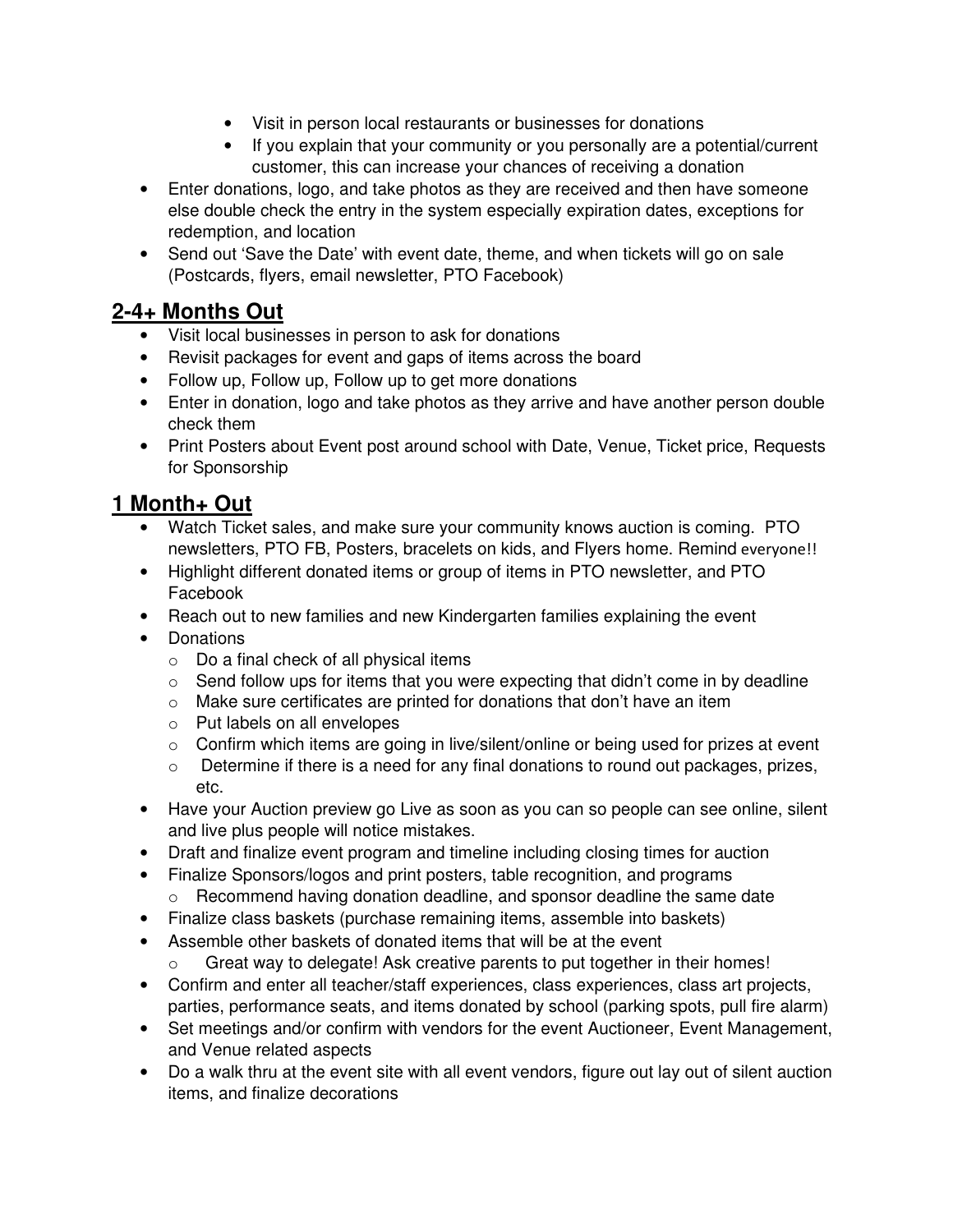- Visit in person local restaurants or businesses for donations
- If you explain that your community or you personally are a potential/current customer, this can increase your chances of receiving a donation
- Enter donations, logo, and take photos as they are received and then have someone else double check the entry in the system especially expiration dates, exceptions for redemption, and location
- Send out 'Save the Date' with event date, theme, and when tickets will go on sale (Postcards, flyers, email newsletter, PTO Facebook)

# **2-4+ Months Out**

- Visit local businesses in person to ask for donations
- Revisit packages for event and gaps of items across the board
- Follow up, Follow up, Follow up to get more donations
- Enter in donation, logo and take photos as they arrive and have another person double check them
- Print Posters about Event post around school with Date, Venue, Ticket price, Requests for Sponsorship

#### **1 Month+ Out**

- Watch Ticket sales, and make sure your community knows auction is coming. PTO newsletters, PTO FB, Posters, bracelets on kids, and Flyers home. Remind everyone!!
- Highlight different donated items or group of items in PTO newsletter, and PTO Facebook
- Reach out to new families and new Kindergarten families explaining the event
- Donations
	- o Do a final check of all physical items
	- $\circ$  Send follow ups for items that you were expecting that didn't come in by deadline
	- o Make sure certificates are printed for donations that don't have an item
	- o Put labels on all envelopes
	- o Confirm which items are going in live/silent/online or being used for prizes at event
	- o Determine if there is a need for any final donations to round out packages, prizes, etc.
- Have your Auction preview go Live as soon as you can so people can see online, silent and live plus people will notice mistakes.
- Draft and finalize event program and timeline including closing times for auction
- Finalize Sponsors/logos and print posters, table recognition, and programs o Recommend having donation deadline, and sponsor deadline the same date
- Finalize class baskets (purchase remaining items, assemble into baskets)
- Assemble other baskets of donated items that will be at the event
	- o Great way to delegate! Ask creative parents to put together in their homes!
- Confirm and enter all teacher/staff experiences, class experiences, class art projects, parties, performance seats, and items donated by school (parking spots, pull fire alarm)
- Set meetings and/or confirm with vendors for the event Auctioneer, Event Management, and Venue related aspects
- Do a walk thru at the event site with all event vendors, figure out lay out of silent auction items, and finalize decorations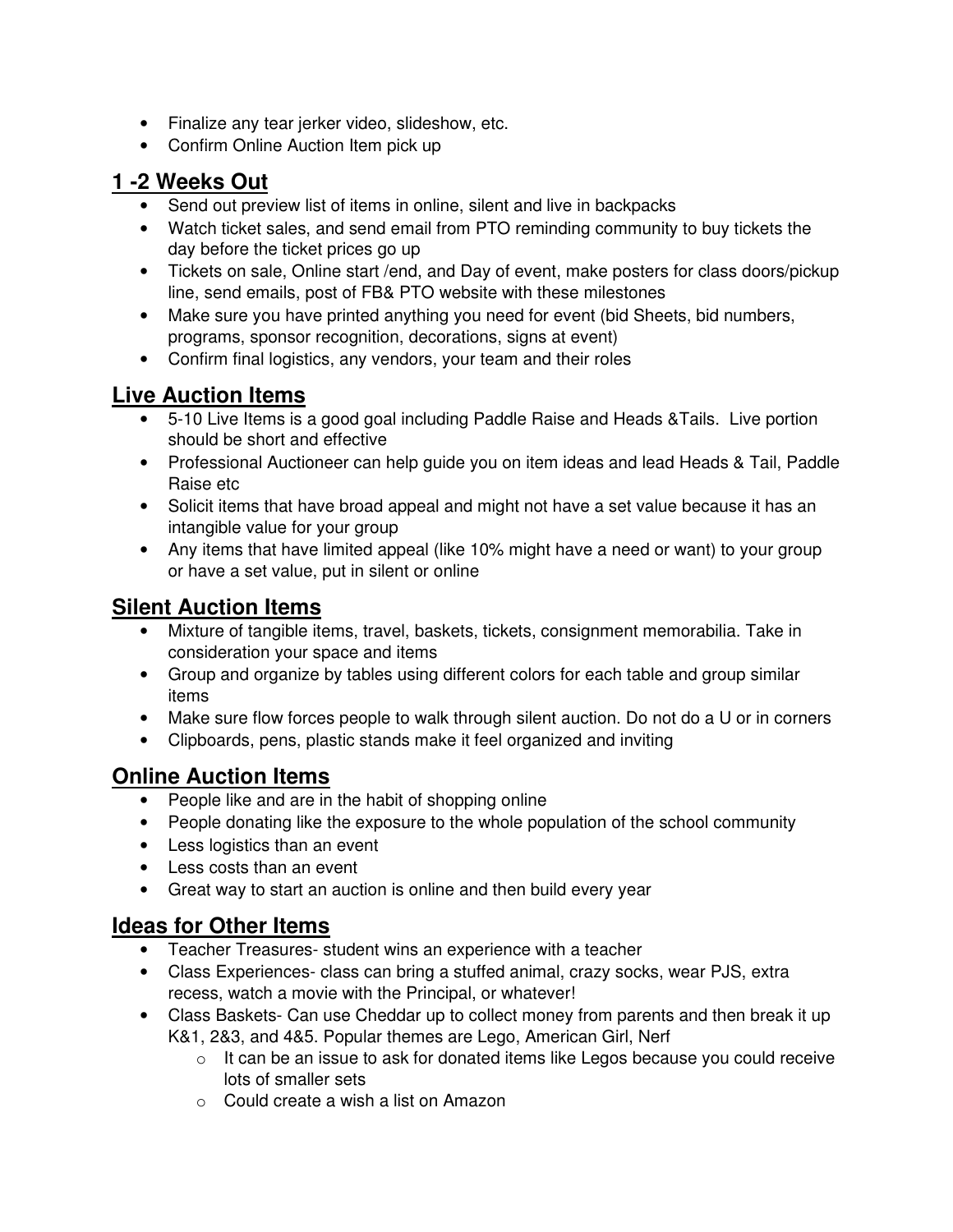- Finalize any tear jerker video, slideshow, etc.
- Confirm Online Auction Item pick up

#### **1 -2 Weeks Out**

- Send out preview list of items in online, silent and live in backpacks
- Watch ticket sales, and send email from PTO reminding community to buy tickets the day before the ticket prices go up
- Tickets on sale, Online start /end, and Day of event, make posters for class doors/pickup line, send emails, post of FB& PTO website with these milestones
- Make sure you have printed anything you need for event (bid Sheets, bid numbers, programs, sponsor recognition, decorations, signs at event)
- Confirm final logistics, any vendors, your team and their roles

# **Live Auction Items**

- 5-10 Live Items is a good goal including Paddle Raise and Heads &Tails. Live portion should be short and effective
- Professional Auctioneer can help guide you on item ideas and lead Heads & Tail, Paddle Raise etc
- Solicit items that have broad appeal and might not have a set value because it has an intangible value for your group
- Any items that have limited appeal (like 10% might have a need or want) to your group or have a set value, put in silent or online

# **Silent Auction Items**

- Mixture of tangible items, travel, baskets, tickets, consignment memorabilia. Take in consideration your space and items
- Group and organize by tables using different colors for each table and group similar items
- Make sure flow forces people to walk through silent auction. Do not do a U or in corners
- Clipboards, pens, plastic stands make it feel organized and inviting

# **Online Auction Items**

- People like and are in the habit of shopping online
- People donating like the exposure to the whole population of the school community
- Less logistics than an event
- Less costs than an event
- Great way to start an auction is online and then build every year

#### **Ideas for Other Items**

- Teacher Treasures- student wins an experience with a teacher
- Class Experiences- class can bring a stuffed animal, crazy socks, wear PJS, extra recess, watch a movie with the Principal, or whatever!
- Class Baskets- Can use Cheddar up to collect money from parents and then break it up K&1, 2&3, and 4&5. Popular themes are Lego, American Girl, Nerf
	- $\circ$  It can be an issue to ask for donated items like Legos because you could receive lots of smaller sets
	- o Could create a wish a list on Amazon